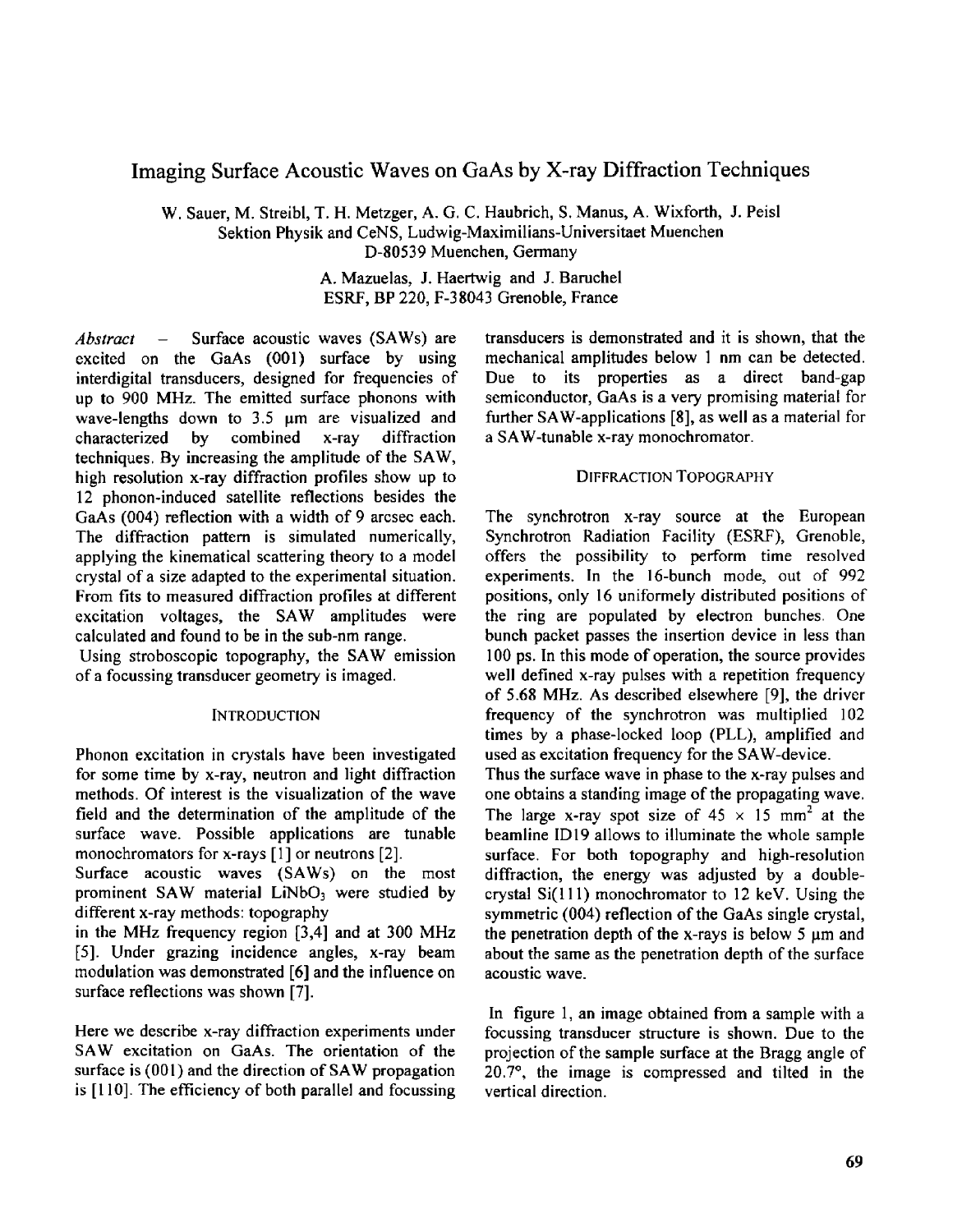# Imaging Surface Acoustic Waves on GaAs by X-ray Diffraction Techniques

W. Sauer, M. Streibl, T. H. Metzger, A. G. C. Haubrich, **S.** Manus, A. Wixforth, J. Peisl Sektion Physik and CeNS, Ludwig-Maximilians-Universitaet Muenchen D-80539 Muenchen, Germany

> A. Mazuelas, **J.** Haertwig and J. Baruchel **ESRF,** BP 220, F-38043 Grenoble. France

*Abstract* – Surface acoustic waves (SAWs) are excited on the GaAs (001) surface by using interdigital transducers, designed for frequencies of up to 900 MHz. The emitted surface phonons with wave-lengths down to  $3.5 \mu m$  are visualized and characterized by combined x-ray diffraction techniques. By increasing the amplitude of the SAW, characterized by combined x-ray diffraction high resolution x-ray diffraction profiles show up to 12 phonon-induced satellite reflections besides the GaAs (004) reflection with a width of 9 arcsec each. The diffraction pattern is simulated numerically, applying the kinematical scattering theory to a model crystal of a size adapted to the experimental situation. From fits to measured diffraction profiles at different excitation voltages, the SAW amplitudes were calculated and found to be in the sub-nm range.

Using stroboscopic topography, the SAW emission of a focussing transducer geometry is imaged.

## **INTRODUCTION**

Phonon excitation in crystals have been investigated for some time by x-ray, neutron and light diffraction methods. Of interest is the visualization of the wave field and the determination of the amplitude of the surface wave. Possible applications are tunable monochromators for x-rays [1] or neutrons [2].

prominent SAW material LiNbO<sub>3</sub> were studied by Surface acoustic waves (SAWs) on the most different x-ray methods: topography

in the MHz frequency region [3,4] and at 300 MHz [S]. Under grazing incidence angles, x-ray beam modulation was demonstrated [6] and the influence on surface reflections was shown [7].

Here we describe x-ray diffraction experiments under SAWexcitation on GaAs. The orientation of the surface is  $(001)$  and the direction of SAW propagation is [l IO]. The efficiency of both parallel and focussing transducers **is** demonstrated and it is shown, that the mechanical amplitudes below 1 nm can be detected. Due to its properties as a direct band-gap semiconductor, GaAs is a very promising material for further SAW-applications [S], as well as a material for a SAW-tunable x-ray monochromator.

## DIFFRACTION TOPOGRAPHY

The synchrotron x-ray source at the European Synchrotron Radiation Facility (ESRF), Grenoble, offers the possibility to perform time resolved experiments. In the 16-bunch mode, out of 992 positions, only 16 uniformely distributed positions of the ring are populated by electron bunches. One bunch packet passes the insertion device in less than 100 ps. In this mode of operation, the source provides well defined x-ray pulses with a repetition frequency of 5.68 MHz. As described elsewhere [9], the driver frequency of the synchrotron was multiplied 102 times by a phase-locked loop (PLL), amplified and used as excitation frequency for the SAW-device. Thus the surface wave in phase to the x-ray pulses and one obtains a standing image of the propagating wave. The large x-ray spot size of  $45 \times 15$  mm<sup>2</sup> at the beamline ID19 allows to illuminate the whole sample surface. For both topography and high-resolution diffraction, the energy was adjusted by a doublecrystal Si(l11) monochromator to 12 keV. Using the symmetric **(004)** reflection of the GaAs single crystal, the penetration depth of the x-rays is below  $5 \mu m$  and about the same as the penetration depth of the surface

**In** figure 1, an image obtained from a sample with a focussing transducer structure is shown. Due to the projection of the sample surface at the Bragg angle of 20.7', the image is compressed and tilted in the vertical direction.

acoustic wave.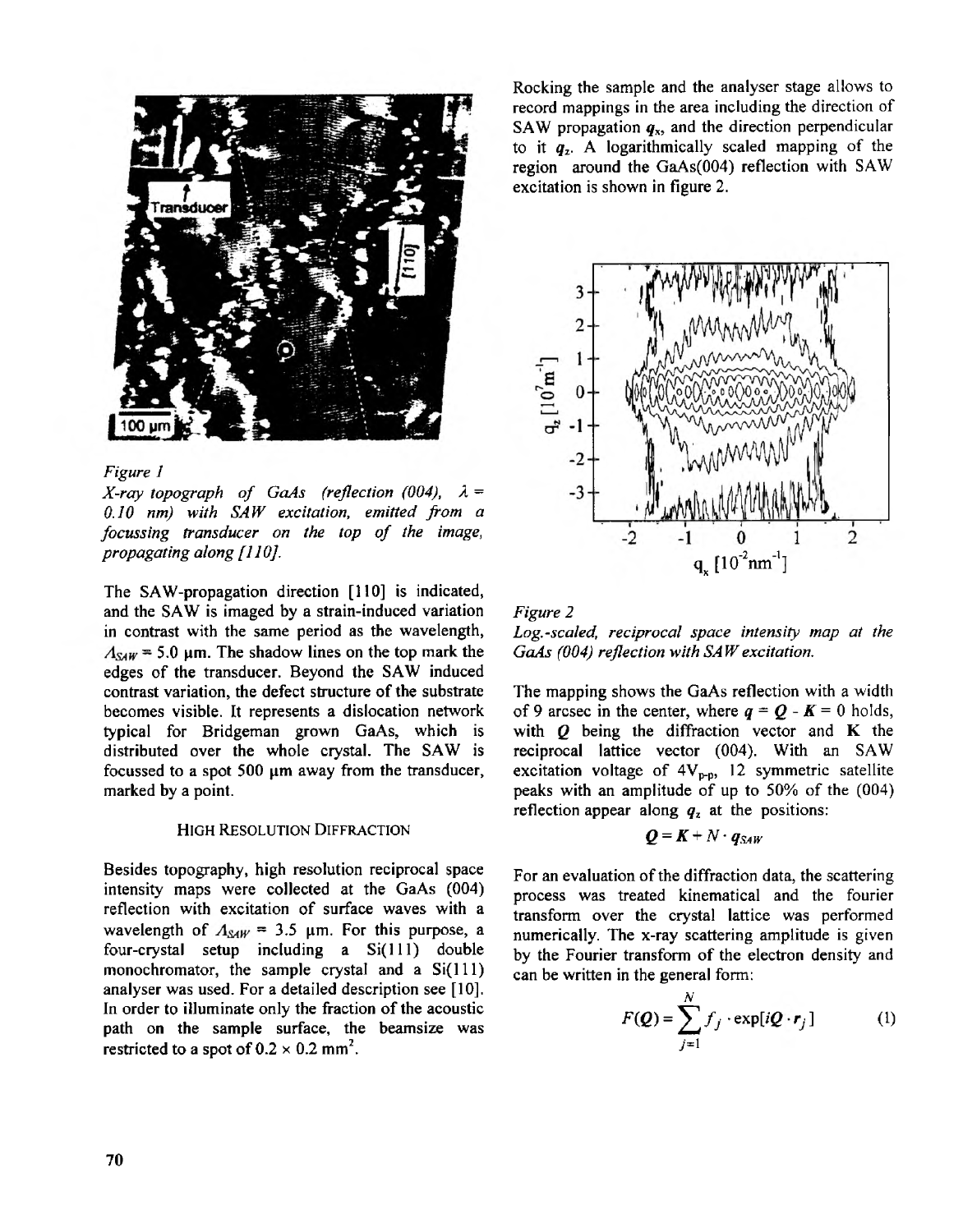

## *Figure I*

*X-ray topograph of* GaAs *(reflection (004), A* = *0.<sup>I</sup> <sup>O</sup> nm) with SAW excitatione, mitted from a focussing transducer on the top athfe image, propagating along[l 101.*

The SAW-propagation direction [110] is indicated, and the SAW is imaged by a strain-induced variation in contrast with the same period as the wavelength,  $A_{\text{SAW}} = 5.0$  µm. The shadow lines on the top mark the edges of the transducer. Beyond the SAW induced contrast variation, the defect structure of the substrate typical for Bridgeman grown GaAs, which is becomes visible. It represents a dislocation network distributed over the whole crystal. The SAW is focussed to a spot 500  $\mu$ m away from the transducer, marked by a point.

#### **HIGH** RESOLUTION DIFFRACTION

Besides topography, high resolution reciprocal space intensity maps were collected at the GaAs (004) reflection with excitation of surface waves with a wavelength of  $A_{SAW} = 3.5 \mu m$ . For this purpose, a four-crystal setup including a  $Si(111)$  double monochromator, the sample crystal and a  $Si(111)$ analyser was used. For a detailed description see [10]. **In** order to illuminate only the fraction of the acoustic path on the sample surface, the beamsize was restricted to a spot of  $0.2 \times 0.2$  mm<sup>2</sup>.

Rocking the sample and the analyser stage allows to record mappings in the area including the direction of SAW propagation  $q_x$ , and the direction perpendicular to it  $q_z$ . A logarithmically scaled mapping of the region around the  $GaAs(004)$  reflection with SAW excitation is shown in [figure](#page--1-0) *2 .*





The mapping shows the GaAs reflection with a width of 9 arcsec in the center, where  $q = Q - K = 0$  holds, with *Q* being the diffraction vector and **K** the reciprocal lattice vector (004). With an SAW excitation voltage of  $4V_{p-p}$ , 12 symmetric satellite peaks with an amplitude of up to  $50\%$  of the  $(004)$ reflection appear along  $q<sub>z</sub>$  at the positions:

$$
Q = K + N \cdot q_{SAW}
$$

For an evaluation of the diffraction data, the scattering process was treated kinematical and the fourier transform over the crystal lattice was performed numerically. The x-ray scattering amplitude is given by the Fourier transform of the electron density and can be written in the general form:

$$
F(Q) = \sum_{j=1}^{N} f_j \cdot \exp[iQ \cdot r_j]
$$
 (1)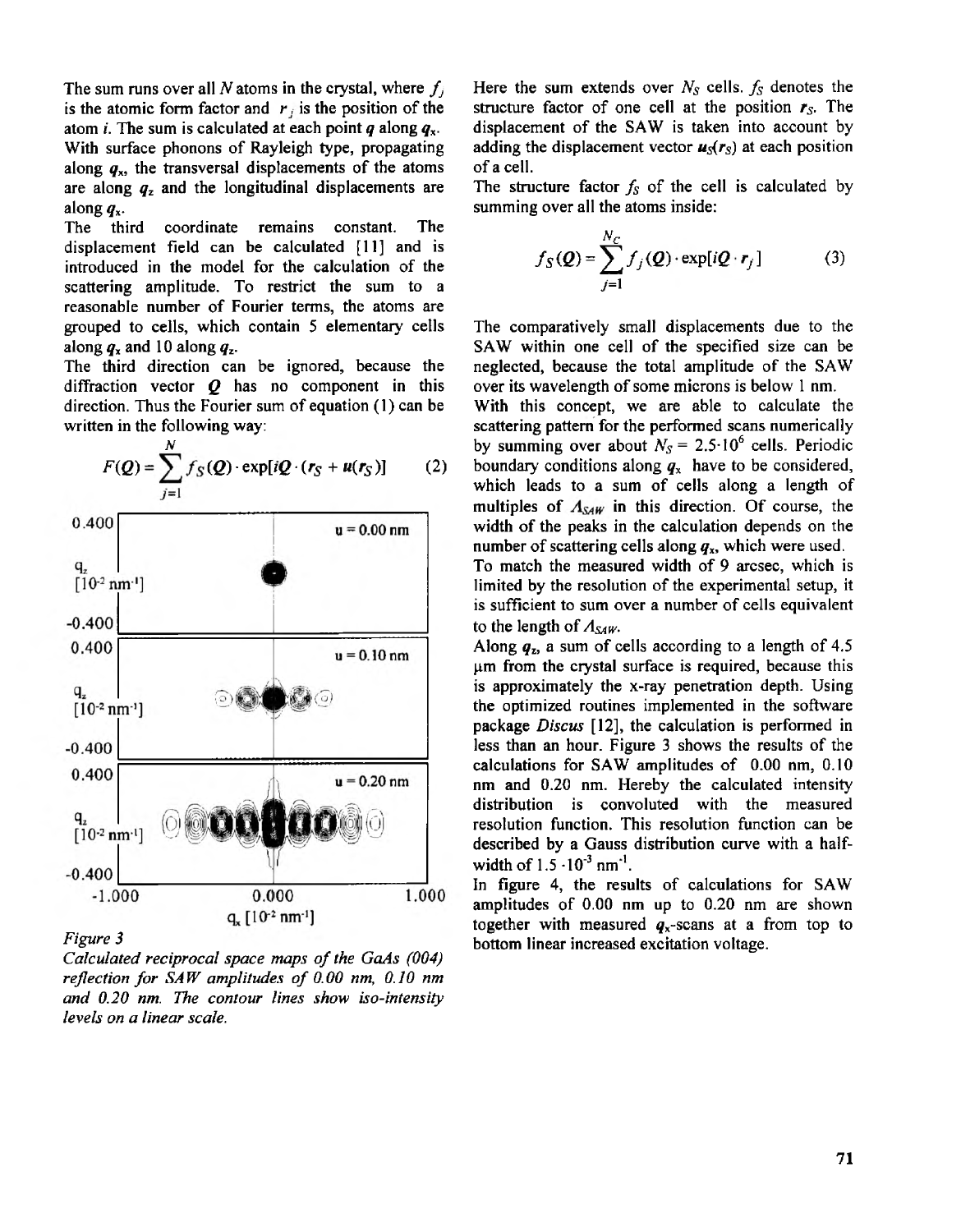The sum runs over all N atoms in the crystal, where  $f_j$ is the atomic form factor and *r,* is the position of the atom *i.* The sum is calculated at each point **g** along *4..* With surface phonons of Rayleigh type, propagating along  $q_x$ , the transversal displacements of the atoms are along *qz* and the longitudinal displacements are

along *4..* The third coordinate remains constant. The displacement field can be calculated [11] and is introduced in the model for the calculation of the scattering amplitude. To restrict the sum to a reasonable number of Fourier terms, the atoms are grouped to cells, which contain 5 elementary cells along  $q_x$  and 10 along  $q_z$ .

The third direction can be ignored, because the diffraction vector  $Q$  has no component in this direction. Thus the Fourier sum of equation  $(1)$  can be written in the following way:





*[Figure](#page--1-0) 3*

*Calculated reciprocal space maps of the* **GaAs** *(004) reflection for SAW amplitudes of* 0.00 *nm,* 0.10 *nm and* 0.20 *nmT. he contour lines show iso-intensity levels on a linear scale.*

Here the sum extends over  $N_S$  cells.  $f_S$  denotes the structure factor of one cell at the position  $r<sub>S</sub>$ . The displacement of the SAW is taken into account by adding the displacement vector  $u_s(r_s)$  at each position of a cell.

The structure factor  $f_s$  of the cell is calculated by summing over all the atoms inside:

$$
f_S(\mathbf{Q}) = \sum_{j=1}^{N_C} f_j(\mathbf{Q}) \cdot \exp[i\mathbf{Q} \cdot \mathbf{r}_j]
$$
(3)

The comparatively small displacements due to the SAW within one cell of the specified size can be neglected, because the total amplitude of the SAW over its wavelength of some microns is below 1 nm.

With this concept, we are able to calculate the scattering pattern for the performed scans numerically by summing over about  $N<sub>S</sub> = 2.5 \cdot 10^6$  cells. Periodic boundary conditions along  $q_x$  have to be considered, which leads to a sum of cells along a length of<br>multiples of  $A_{SAW}$  in this direction. Of course, the width **of** the peaks in the calculation depends on the number of scattering cells along  $q_x$ , which were used.

To match the measured width of 9 arcsec, which is limited by the resolution of the experimental setup, it is sufficient to sum over a number of cells equivalent to the length of  $A_{SAW}$ .

Along  $q_z$ , a sum of cells according to a length of 4.5  $\mu$ m from the crystal surface is required, because this the optimized routines implemented in the software is approximately the x-ray penetration depth. Using package *Discus* **[12],** the calculation is performed in less than an hour. [Figure](#page--1-0) 3 shows the results of the calculations for SAW amplitudes of 0.00 nm, 0.10 nm and **0.20** nm. Hereby the calculated intensity distribution is convoluted with the measured resolution function. This resolution function can be described by a Gauss distribution curve with a halfwidth of  $1.5 \cdot 10^{-3}$  nm<sup>-1</sup>.

In figure 4, the results of calculations for SAW amplitudes of  $0.00$  nm up to  $0.20$  nm are shown together with measured  $q_x$ -scans at a from top to bottom linear increased excitation voltage.